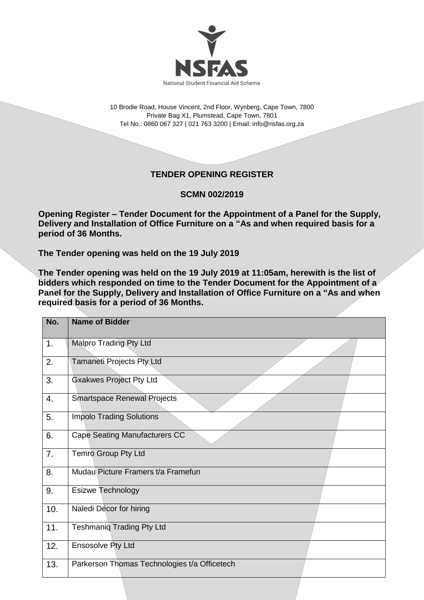

10 Brodie Road, House Vincent, 2nd Floor, Wynberg, Cape Town, 7800 Private Bag X1, Plumstead, Cape Town, 7801 Tel No.: 0860 067 327 | 021 763 3200 | Email[: info@nsfas.org.za](mailto:info@nsfas.org.za)

## **TENDER OPENING REGISTER**

## **SCMN 002/2019**

**Opening Register – Tender Document for the Appointment of a Panel for the Supply, Delivery and Installation of Office Furniture on a "As and when required basis for a period of 36 Months.**

**The Tender opening was held on the 19 July 2019**

**The Tender opening was held on the 19 July 2019 at 11:05am, herewith is the list of bidders which responded on time to the Tender Document for the Appointment of a Panel for the Supply, Delivery and Installation of Office Furniture on a "As and when required basis for a period of 36 Months.**

| No. | <b>Name of Bidder</b>                        |
|-----|----------------------------------------------|
| 1.  | <b>Malpro Trading Pty Ltd</b>                |
| 2.  | Tamaneti Projects Pty Ltd                    |
| 3.  | <b>Gxakwes Project Pty Ltd</b>               |
| 4.  | <b>Smartspace Renewal Projects</b>           |
| 5.  | <b>Impolo Trading Solutions</b>              |
| 6.  | <b>Cape Seating Manufacturers CC</b>         |
| 7.  | Temro Group Pty Ltd                          |
| 8.  | Mudau Picture Framers t/a Framefun           |
| 9.  | <b>Esizwe Technology</b>                     |
| 10. | Naledi Décor for hiring                      |
| 11. | <b>Teshmaniq Trading Pty Ltd</b>             |
| 12. | Ensosolve Pty Ltd                            |
| 13. | Parkerson Thomas Technologies t/a Officetech |